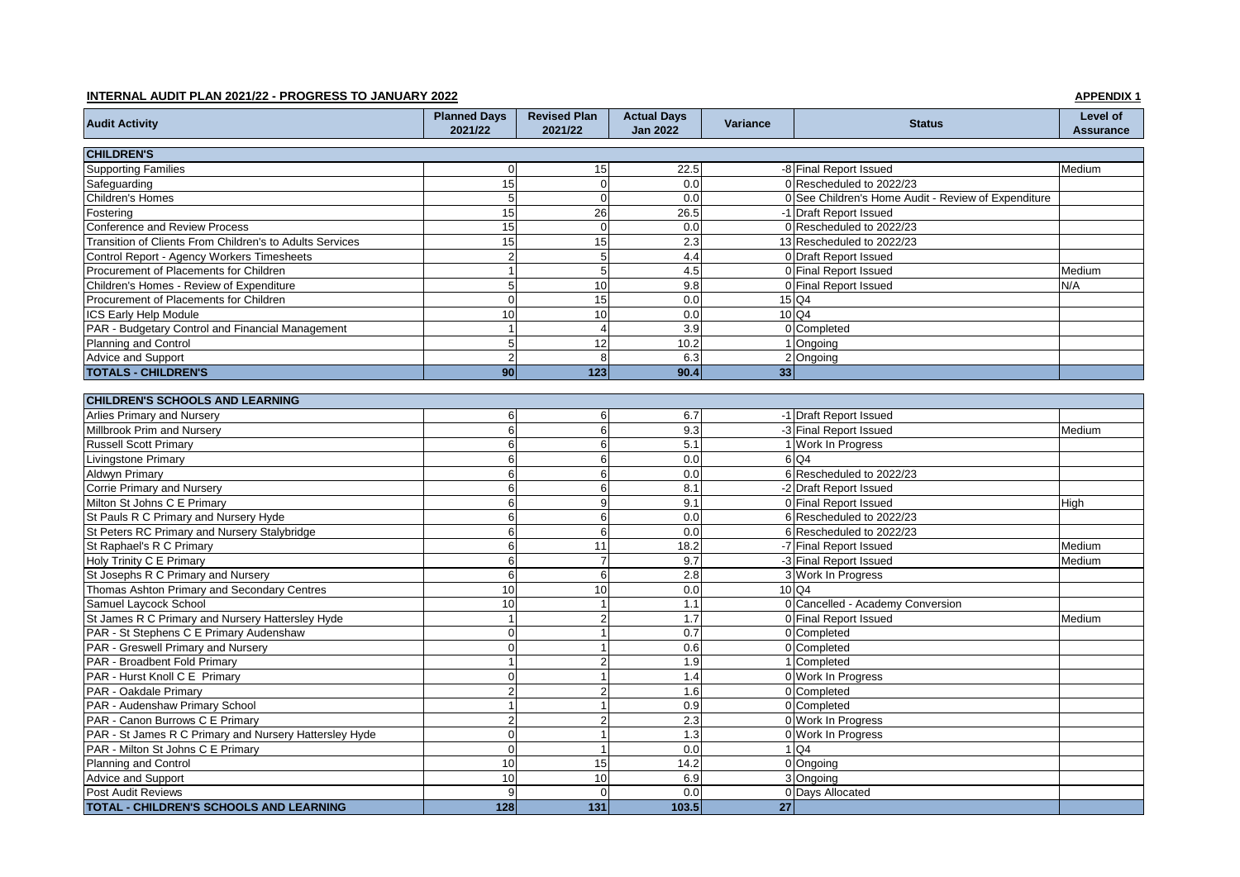## **INTERNAL AUDIT PLAN 2021/22 - PROGRESS TO JANUARY 2022 APPENDIX 1**

| <b>Audit Activity</b>                                    | <b>Planned Days</b><br>2021/22 | <b>Revised Plan</b><br>2021/22 | <b>Actual Days</b><br><b>Jan 2022</b> | Variance        | <b>Status</b>                                       | Level of<br><b>Assurance</b> |
|----------------------------------------------------------|--------------------------------|--------------------------------|---------------------------------------|-----------------|-----------------------------------------------------|------------------------------|
| <b>CHILDREN'S</b>                                        |                                |                                |                                       |                 |                                                     |                              |
| <b>Supporting Families</b>                               | $\mathbf 0$                    | 15                             | 22.5                                  |                 | -8 Final Report Issued                              | Medium                       |
| Safeguarding                                             | 15                             | $\mathbf 0$                    | 0.0                                   |                 | 0 Rescheduled to 2022/23                            |                              |
| Children's Homes                                         | 5                              | $\Omega$                       | 0.0                                   |                 | 0 See Children's Home Audit - Review of Expenditure |                              |
| Fostering                                                | 15                             | 26                             | 26.5                                  |                 | -1 Draft Report Issued                              |                              |
| <b>Conference and Review Process</b>                     | 15                             | $\mathbf 0$                    | 0.0                                   |                 | 0 Rescheduled to 2022/23                            |                              |
| Transition of Clients From Children's to Adults Services | 15                             | 15                             | 2.3                                   |                 | 13 Rescheduled to 2022/23                           |                              |
| Control Report - Agency Workers Timesheets               | $\overline{c}$                 | 5                              | 4.4                                   |                 | 0 Draft Report Issued                               |                              |
| Procurement of Placements for Children                   | $\mathbf{1}$                   | 5                              | 4.5                                   |                 | 0 Final Report Issued                               | Medium                       |
| Children's Homes - Review of Expenditure                 | $\overline{5}$                 | 10                             | 9.8                                   |                 | 0 Final Report Issued                               | N/A                          |
| Procurement of Placements for Children                   | $\mathbf 0$                    | 15                             | 0.0                                   |                 | $15$ Q4                                             |                              |
| <b>ICS Early Help Module</b>                             | 10                             | 10                             | 0.0                                   |                 | $10$ Q4                                             |                              |
| PAR - Budgetary Control and Financial Management         | $\overline{1}$                 | $\overline{4}$                 | 3.9                                   |                 | 0 Completed                                         |                              |
| Planning and Control                                     | $\mathbf 5$                    | 12                             | 10.2                                  |                 | 1 Ongoing                                           |                              |
| Advice and Support                                       | $\overline{2}$                 | 8                              | 6.3                                   |                 | 2 Ongoing                                           |                              |
| <b>TOTALS - CHILDREN'S</b>                               | 90                             | $\overline{123}$               | 90.4                                  | 33              |                                                     |                              |
| <b>CHILDREN'S SCHOOLS AND LEARNING</b>                   |                                |                                |                                       |                 |                                                     |                              |
| Arlies Primary and Nursery                               |                                | 6                              | 6.7                                   |                 | -1 Draft Report Issued                              |                              |
| Millbrook Prim and Nursery                               | $\,6$<br>$6\phantom{1}$        | 6                              | 9.3                                   |                 | -3 Final Report Issued                              |                              |
| <b>Russell Scott Primary</b>                             | 6                              | 6                              | 5.1                                   |                 | 1 Work In Progress                                  | Medium                       |
| Livingstone Primary                                      |                                |                                | 0.0                                   |                 | 6 Q4                                                |                              |
| <b>Aldwyn Primary</b>                                    | $\,6$<br>$\,6\,$               | 6<br>$\overline{6}$            | 0.0                                   |                 | 6 Rescheduled to 2022/23                            |                              |
| Corrie Primary and Nursery                               | $6\phantom{1}$                 | 6                              | 8.1                                   |                 | -2 Draft Report Issued                              |                              |
| Milton St Johns C E Primary                              | $6\phantom{1}$                 | 9                              | 9.1                                   |                 | 0 Final Report Issued                               |                              |
| St Pauls R C Primary and Nursery Hyde                    | 6                              | 6                              | 0.0                                   |                 | 6 Rescheduled to 2022/23                            | High                         |
| St Peters RC Primary and Nursery Stalybridge             | $\,6\,$                        | 6                              | 0.0                                   |                 | 6 Rescheduled to 2022/23                            |                              |
| St Raphael's R C Primary                                 | $6\phantom{1}$                 | 11                             | 18.2                                  |                 | -7 Final Report Issued                              | Medium                       |
| <b>Holy Trinity C E Primary</b>                          | $6\phantom{1}$                 | $\overline{7}$                 | 9.7                                   |                 | -3 Final Report Issued                              | Medium                       |
| St Josephs R C Primary and Nursery                       | $6\phantom{1}$                 | 6                              | $\overline{2.8}$                      |                 | 3 Work In Progress                                  |                              |
| Thomas Ashton Primary and Secondary Centres              | 10                             | 10                             | 0.0                                   |                 | $10\overline{\mathsf{Q}}$ 4                         |                              |
| Samuel Laycock School                                    | 10                             | $\overline{1}$                 | 1.1                                   |                 | 0 Cancelled - Academy Conversion                    |                              |
| St James R C Primary and Nursery Hattersley Hyde         | $\mathbf{1}$                   | $\mathbf 2$                    | 1.7                                   |                 | 0 Final Report Issued                               | Medium                       |
| PAR - St Stephens C E Primary Audenshaw                  | $\mathbf 0$                    | $\overline{1}$                 | 0.7                                   |                 | 0 Completed                                         |                              |
| PAR - Greswell Primary and Nursery                       | $\mathbf 0$                    | $\mathbf{1}$                   | 0.6                                   |                 | 0 Completed                                         |                              |
| PAR - Broadbent Fold Primary                             | $\mathbf{1}$                   | $\overline{2}$                 | 1.9                                   |                 | 1 Completed                                         |                              |
| PAR - Hurst Knoll C E Primary                            | $\mathbf 0$                    | $\overline{1}$                 | 1.4                                   |                 | 0 Work In Progress                                  |                              |
| PAR - Oakdale Primary                                    | $\mathbf 2$                    | $\overline{2}$                 | 1.6                                   |                 | 0 Completed                                         |                              |
| PAR - Audenshaw Primary School                           | $\mathbf{1}$                   | $\overline{1}$                 | 0.9                                   |                 | 0 Completed                                         |                              |
| PAR - Canon Burrows C E Primary                          | $\overline{2}$                 | $\mathbf 2$                    | $\overline{2.3}$                      |                 | 0 Work In Progress                                  |                              |
| PAR - St James R C Primary and Nursery Hattersley Hyde   | $\mathbf 0$                    | $\overline{1}$                 | 1.3                                   |                 | 0 Work In Progress                                  |                              |
| PAR - Milton St Johns C E Primary                        | $\mathbf 0$                    | $\overline{1}$                 | 0.0                                   |                 | $1$ Q4                                              |                              |
| <b>Planning and Control</b>                              | 10                             | 15                             | 14.2                                  |                 | 0 Ongoing                                           |                              |
| <b>Advice and Support</b>                                | 10                             | 10                             | 6.9                                   |                 | 3 Ongoing                                           |                              |
| <b>Post Audit Reviews</b>                                | 9                              | $\Omega$                       | 0.0                                   |                 | 0 Days Allocated                                    |                              |
| <b>TOTAL - CHILDREN'S SCHOOLS AND LEARNING</b>           | 128                            | $131$                          | 103.5                                 | $\overline{27}$ |                                                     |                              |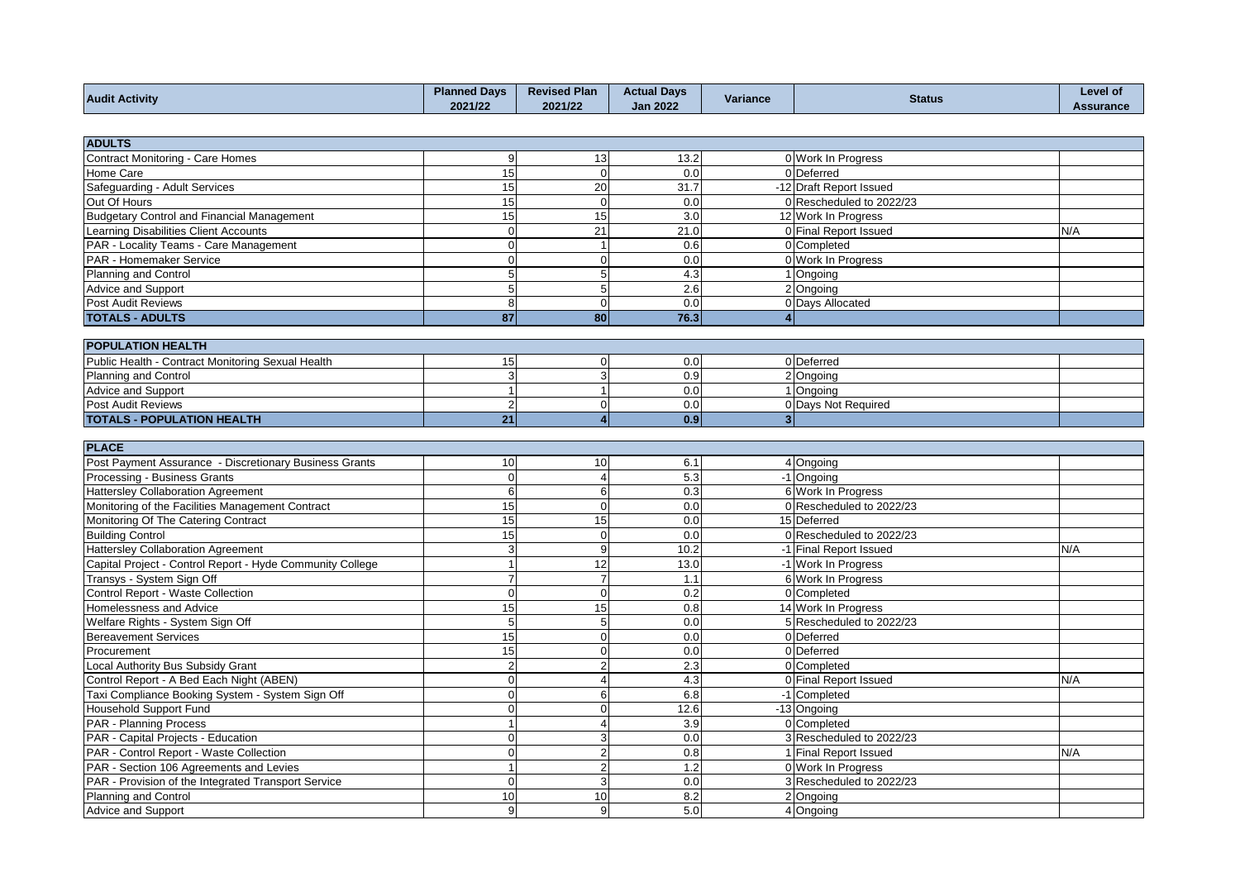| <b>Audit Activity</b> | <b>Planned Davs</b><br>2021/22 | <b>Revised Plan</b><br>2021/22 | <b>Actual Davs</b><br><b>Jan 2022</b> | <b>COLOR</b><br>Variance | <b>Status</b> | <b>Level of</b><br>Assurance |
|-----------------------|--------------------------------|--------------------------------|---------------------------------------|--------------------------|---------------|------------------------------|
|                       |                                |                                |                                       |                          |               |                              |

| <b>ADULTS</b>                              |    |     |      |                          |     |
|--------------------------------------------|----|-----|------|--------------------------|-----|
| Contract Monitoring - Care Homes           |    | 13. | 13.2 | 0 Work In Progress       |     |
| Home Care                                  | 15 |     | 0.0  | 0 Deferred               |     |
| Safeguarding - Adult Services              | 15 | 20  | 31.7 | -12 Draft Report Issued  |     |
| Out Of Hours                               | 15 |     | 0.0  | 0 Rescheduled to 2022/23 |     |
| Budgetary Control and Financial Management | 15 | 15  | 3.0  | 12 Work In Progress      |     |
| Learning Disabilities Client Accounts      |    | 21  | 21.0 | 0 Final Report Issued    | N/A |
| PAR - Locality Teams - Care Management     |    |     | 0.6  | 0 Completed              |     |
| PAR - Homemaker Service                    |    |     | 0.0  | 0 Work In Progress       |     |
| Planning and Control                       |    |     | 4.3  | 1 Ongoing                |     |
| Advice and Support                         |    |     | 2.6  | 2 Ongoing                |     |
| Post Audit Reviews                         |    |     | 0.0  | 0 Days Allocated         |     |
| <b>TOTALS - ADULTS</b>                     | 87 | 80  | 76.3 |                          |     |
| <b>BOBULATION UP ALTU.</b>                 |    |     |      |                          |     |

| <b>POPULATION HEALTH</b>                          |  |  |                  |  |                     |  |  |
|---------------------------------------------------|--|--|------------------|--|---------------------|--|--|
| Public Health - Contract Monitoring Sexual Health |  |  | 0.01             |  | 0 Deferred          |  |  |
| Planning and Control                              |  |  | 0.91             |  | 2 Ongoing           |  |  |
| <b>Advice and Support</b>                         |  |  | 0.01             |  | . Ongoing           |  |  |
| Post Audit Reviews                                |  |  | 0.01             |  | 0 Davs Not Required |  |  |
| <b>TOTALS - POPULATION HEALTH</b>                 |  |  | 0.9 <sub>l</sub> |  |                     |  |  |

| <b>PLACE</b>                                              |          |          |      |  |                          |     |  |
|-----------------------------------------------------------|----------|----------|------|--|--------------------------|-----|--|
| Post Payment Assurance - Discretionary Business Grants    | 10       | 10       | 6.1  |  | 4 Ongoing                |     |  |
| Processing - Business Grants                              |          |          | 5.3  |  | -1 Ongoing               |     |  |
| <b>Hattersley Collaboration Agreement</b>                 | 6        | 6        | 0.3  |  | 6 Work In Progress       |     |  |
| Monitoring of the Facilities Management Contract          | 15       | $\Omega$ | 0.0  |  | 0 Rescheduled to 2022/23 |     |  |
| Monitoring Of The Catering Contract                       | 15       | 15       | 0.0  |  | 15 Deferred              |     |  |
| <b>Building Control</b>                                   | 15       |          | 0.0  |  | 0 Rescheduled to 2022/23 |     |  |
| <b>Hattersley Collaboration Agreement</b>                 |          | g        | 10.2 |  | -1 Final Report Issued   | N/A |  |
| Capital Project - Control Report - Hyde Community College |          | 12       | 13.0 |  | -1 Work In Progress      |     |  |
| Transys - System Sign Off                                 |          |          | 1.1  |  | 6 Work In Progress       |     |  |
| Control Report - Waste Collection                         |          |          | 0.2  |  | 0 Completed              |     |  |
| Homelessness and Advice                                   | 15       | 15       | 0.8  |  | 14 Work In Progress      |     |  |
| Welfare Rights - System Sign Off                          | 5        |          | 0.0  |  | 5 Rescheduled to 2022/23 |     |  |
| <b>Bereavement Services</b>                               | 15       |          | 0.0  |  | 0 Deferred               |     |  |
| Procurement                                               | 15       |          | 0.0  |  | 0 Deferred               |     |  |
| Local Authority Bus Subsidy Grant                         |          |          | 2.3  |  | 0 Completed              |     |  |
| Control Report - A Bed Each Night (ABEN)                  |          |          | 4.3  |  | 0 Final Report Issued    | N/A |  |
| Taxi Compliance Booking System - System Sign Off          |          |          | 6.8  |  | -1 Completed             |     |  |
| <b>Household Support Fund</b>                             |          |          | 12.6 |  | -13 Ongoing              |     |  |
| PAR - Planning Process                                    |          |          | 3.9  |  | 0 Completed              |     |  |
| PAR - Capital Projects - Education                        |          |          | 0.0  |  | 3 Rescheduled to 2022/23 |     |  |
| PAR - Control Report - Waste Collection                   |          |          | 0.8  |  | 1 Final Report Issued    | N/A |  |
| PAR - Section 106 Agreements and Levies                   |          |          | 1.2  |  | 0 Work In Progress       |     |  |
| PAR - Provision of the Integrated Transport Service       | $\Omega$ |          | 0.0  |  | 3 Rescheduled to 2022/23 |     |  |
| Planning and Control                                      | 10       | 10       | 8.2  |  | 2 Ongoing                |     |  |
| Advice and Support                                        | 9        | q        | 5.0  |  | 4 Ongoing                |     |  |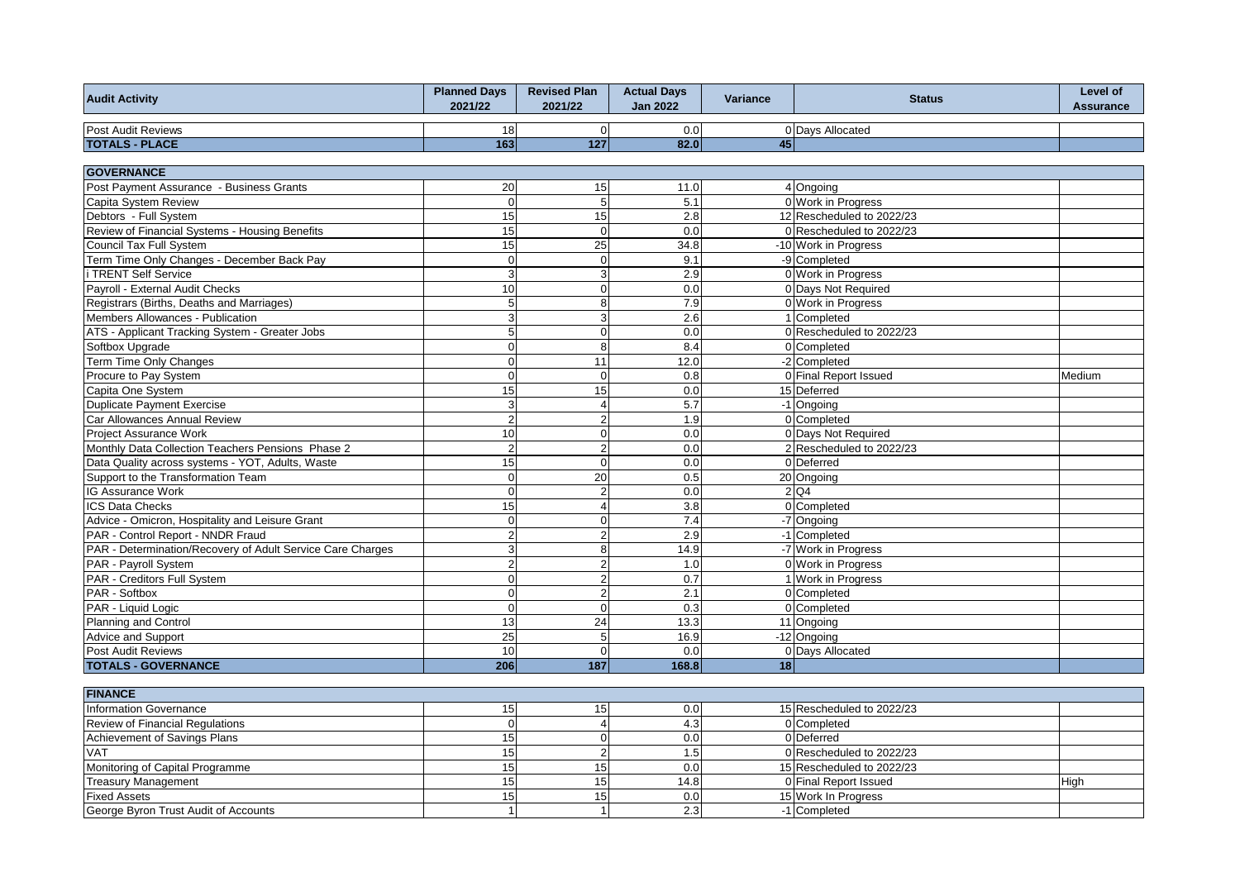| <b>Audit Activity</b>                                      | <b>Planned Days</b><br>2021/22 | <b>Revised Plan</b><br>2021/22 | <b>Actual Days</b><br><b>Jan 2022</b> | Variance | <b>Status</b>             | Level of<br><b>Assurance</b> |
|------------------------------------------------------------|--------------------------------|--------------------------------|---------------------------------------|----------|---------------------------|------------------------------|
| <b>Post Audit Reviews</b>                                  | 18                             | $\mathbf 0$                    | 0.0                                   |          | 0 Days Allocated          |                              |
| <b>TOTALS - PLACE</b>                                      | 163                            | 127                            | 82.0                                  | 45       |                           |                              |
|                                                            |                                |                                |                                       |          |                           |                              |
| <b>GOVERNANCE</b>                                          |                                |                                |                                       |          |                           |                              |
| Post Payment Assurance - Business Grants                   | 20                             | 15                             | 11.0                                  |          | 4 Ongoing                 |                              |
| Capita System Review                                       | $\overline{0}$                 | $\overline{5}$                 | 5.1                                   |          | 0 Work in Progress        |                              |
| Debtors - Full System                                      | 15                             | 15                             | 2.8                                   |          | 12 Rescheduled to 2022/23 |                              |
| Review of Financial Systems - Housing Benefits             | 15                             | $\mathbf 0$                    | 0.0                                   |          | 0 Rescheduled to 2022/23  |                              |
| Council Tax Full System                                    | 15                             | 25                             | 34.8                                  |          | -10 Work in Progress      |                              |
| Term Time Only Changes - December Back Pay                 | $\mathbf{0}$                   | $\pmb{0}$                      | 9.1                                   |          | -9 Completed              |                              |
| i TRENT Self Service                                       | 3                              | 3                              | 2.9                                   |          | 0 Work in Progress        |                              |
| Payroll - External Audit Checks                            | 10                             | $\mathbf 0$                    | 0.0                                   |          | 0 Days Not Required       |                              |
| Registrars (Births, Deaths and Marriages)                  | $\overline{5}$                 | 8                              | 7.9                                   |          | 0 Work in Progress        |                              |
| Members Allowances - Publication                           | $\mathbf{3}$                   | 3                              | 2.6                                   |          | 1 Completed               |                              |
| ATS - Applicant Tracking System - Greater Jobs             | $\overline{5}$                 | $\overline{0}$                 | 0.0                                   |          | 0 Rescheduled to 2022/23  |                              |
| Softbox Upgrade                                            | $\mathbf 0$                    | 8                              | 8.4                                   |          | 0 Completed               |                              |
| Term Time Only Changes                                     | $\overline{0}$                 | 11                             | 12.0                                  |          | -2 Completed              |                              |
| Procure to Pay System                                      | $\Omega$                       | $\Omega$                       | 0.8                                   |          | 0 Final Report Issued     | Medium                       |
| Capita One System                                          | 15                             | 15                             | 0.0                                   |          | 15 Deferred               |                              |
| <b>Duplicate Payment Exercise</b>                          | 3                              | $\overline{4}$                 | 5.7                                   |          | -1 Ongoing                |                              |
| Car Allowances Annual Review                               | $\overline{2}$                 | $\overline{2}$                 | 1.9                                   |          | 0 Completed               |                              |
| <b>Project Assurance Work</b>                              | 10                             | $\mathbf 0$                    | 0.0                                   |          | 0 Days Not Required       |                              |
| Monthly Data Collection Teachers Pensions Phase 2          | $\overline{c}$                 | $\overline{c}$                 | 0.0                                   |          | 2 Rescheduled to 2022/23  |                              |
| Data Quality across systems - YOT, Adults, Waste           | 15                             | $\overline{0}$                 | 0.0                                   |          | 0 Deferred                |                              |
| Support to the Transformation Team                         | $\overline{0}$                 | 20                             | 0.5                                   |          | 20 Ongoing                |                              |
| IG Assurance Work                                          | $\Omega$                       | $\overline{c}$                 | 0.0                                   |          | $2$ Q <sub>4</sub>        |                              |
| <b>ICS Data Checks</b>                                     | 15                             | $\overline{4}$                 | 3.8                                   |          | 0 Completed               |                              |
| Advice - Omicron, Hospitality and Leisure Grant            | $\mathbf 0$                    | $\pmb{0}$                      | 7.4                                   |          | -7 Ongoing                |                              |
| PAR - Control Report - NNDR Fraud                          | $\mathbf 2$                    | $\overline{c}$                 | 2.9                                   |          | -1 Completed              |                              |
| PAR - Determination/Recovery of Adult Service Care Charges | $\overline{3}$                 | 8                              | 14.9                                  |          | -7 Work in Progress       |                              |
| PAR - Payroll System                                       | $\overline{2}$                 | $\overline{2}$                 | 1.0                                   |          | 0 Work in Progress        |                              |
| PAR - Creditors Full System                                | $\Omega$                       | $\overline{2}$                 | 0.7                                   |          | 1 Work in Progress        |                              |
| PAR - Softbox                                              | $\mathbf 0$                    | $\overline{2}$                 | 2.1                                   |          | 0 Completed               |                              |
| PAR - Liquid Logic                                         | $\mathbf 0$                    | $\mathbf 0$                    | 0.3                                   |          | 0 Completed               |                              |
| Planning and Control                                       | 13                             | 24                             | 13.3                                  |          | 11 Ongoing                |                              |
| <b>Advice and Support</b>                                  | 25                             | 5                              | 16.9                                  |          | -12 Ongoing               |                              |
| Post Audit Reviews                                         | 10                             | $\mathbf 0$                    | 0.0                                   |          | 0 Days Allocated          |                              |
| <b>TOTALS - GOVERNANCE</b>                                 | 206                            | 187                            | 168.8                                 | 18       |                           |                              |
| <b>FINANCE</b>                                             |                                |                                |                                       |          |                           |                              |
| Information Governance                                     | 15                             | 15                             | 0.0                                   |          | 15 Rescheduled to 2022/23 |                              |
| Review of Financial Regulations                            | $\pmb{0}$                      | $\overline{4}$                 | 4.3                                   |          | 0 Completed               |                              |
| Achievement of Savings Plans                               | 15                             | $\pmb{0}$                      | 0.0                                   |          | 0 Deferred                |                              |
| <b>VAT</b>                                                 | 15                             | $\overline{2}$                 | 1.5                                   |          | 0 Rescheduled to 2022/23  |                              |
| Monitoring of Capital Programme                            | 15                             | 15                             | 0.0                                   |          | 15 Rescheduled to 2022/23 |                              |
| <b>Treasury Management</b>                                 | 15                             | 15                             | 14.8                                  |          | 0 Final Report Issued     | High                         |
| <b>Fixed Assets</b>                                        | 15                             | 15                             | 0.0                                   |          | 15 Work In Progress       |                              |
| George Byron Trust Audit of Accounts                       | $\overline{1}$                 | $\overline{1}$                 | 2.3                                   |          | -1 Completed              |                              |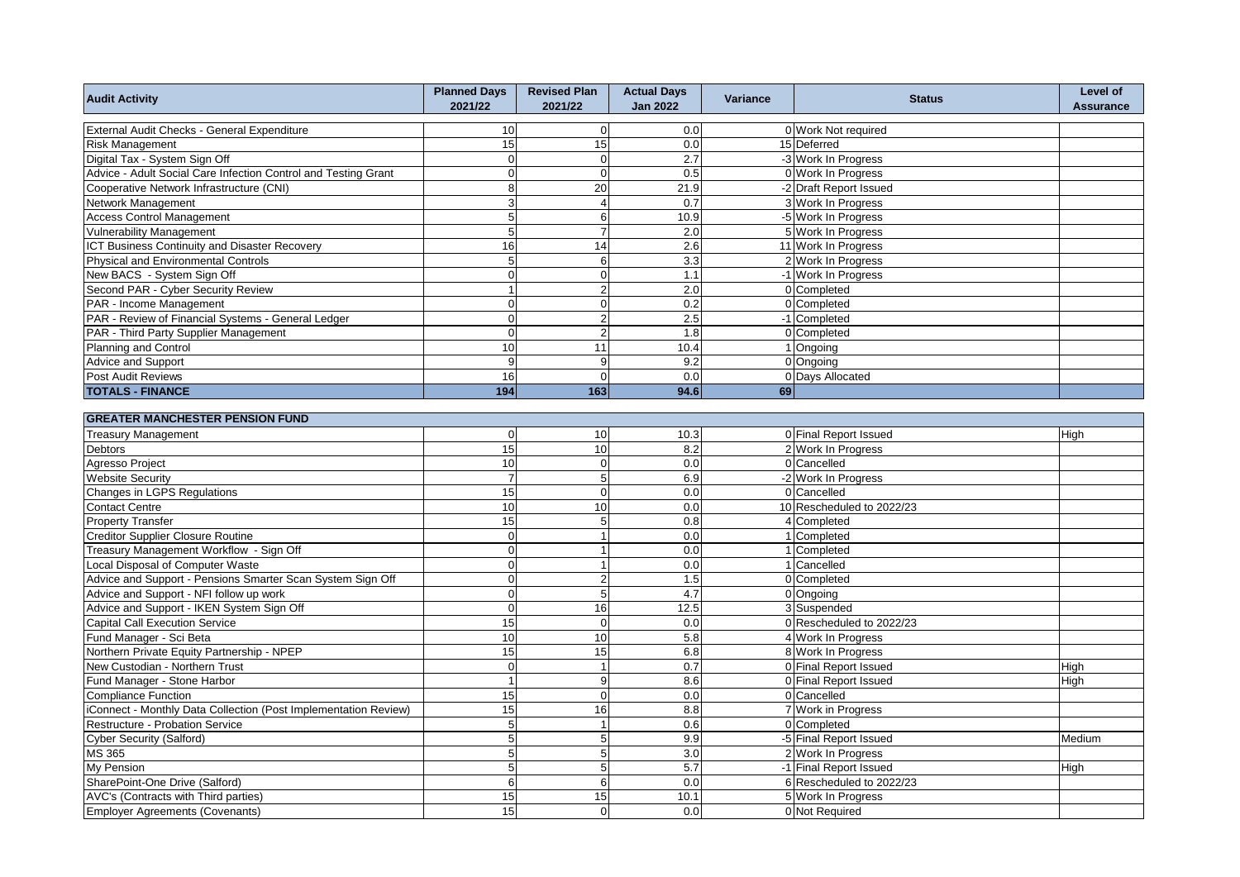| <b>Audit Activity</b>                                           | <b>Planned Days</b><br>2021/22 | <b>Revised Plan</b><br>2021/22 | <b>Actual Days</b><br><b>Jan 2022</b> | Variance | <b>Status</b>             | Level of<br><b>Assurance</b> |
|-----------------------------------------------------------------|--------------------------------|--------------------------------|---------------------------------------|----------|---------------------------|------------------------------|
| External Audit Checks - General Expenditure                     | 10                             | $\overline{0}$                 | 0.0                                   |          | 0 Work Not required       |                              |
| <b>Risk Management</b>                                          | 15                             | 15                             | 0.0                                   |          | 15 Deferred               |                              |
| Digital Tax - System Sign Off                                   | $\mathbf{0}$                   | $\mathbf 0$                    | 2.7                                   |          | -3 Work In Progress       |                              |
| Advice - Adult Social Care Infection Control and Testing Grant  | $\mathbf 0$                    | $\mathbf 0$                    | 0.5                                   |          | 0 Work In Progress        |                              |
| Cooperative Network Infrastructure (CNI)                        | $\overline{8}$                 | 20                             | 21.9                                  |          | -2 Draft Report Issued    |                              |
| Network Management                                              | $\overline{3}$                 | $\overline{4}$                 | 0.7                                   |          | 3 Work In Progress        |                              |
| <b>Access Control Management</b>                                | 5                              | 6                              | 10.9                                  |          | -5 Work In Progress       |                              |
| <b>Vulnerability Management</b>                                 | 5                              | $\overline{7}$                 | 2.0                                   |          | 5 Work In Progress        |                              |
| ICT Business Continuity and Disaster Recovery                   | 16                             | 14                             | 2.6                                   |          | 11 Work In Progress       |                              |
| Physical and Environmental Controls                             | 5                              | 6                              | 3.3                                   |          | 2 Work In Progress        |                              |
| New BACS - System Sign Off                                      | $\mathbf{0}$                   | $\mathbf 0$                    | 1.1                                   |          | -1 Work In Progress       |                              |
| Second PAR - Cyber Security Review                              | $\overline{1}$                 | $\overline{2}$                 | $\overline{2.0}$                      |          | 0 Completed               |                              |
| PAR - Income Management                                         | $\mathbf{0}$                   | $\overline{0}$                 | 0.2                                   |          | 0 Completed               |                              |
| PAR - Review of Financial Systems - General Ledger              | $\overline{0}$                 | $\overline{2}$                 | 2.5                                   |          | -1 Completed              |                              |
| PAR - Third Party Supplier Management                           | $\mathbf 0$                    | $\overline{2}$                 | 1.8                                   |          | 0 Completed               |                              |
| <b>Planning and Control</b>                                     | 10                             | 11                             | 10.4                                  |          | 1 Ongoing                 |                              |
| Advice and Support                                              | $\overline{9}$                 | 9                              | 9.2                                   |          | 0 Ongoing                 |                              |
| Post Audit Reviews                                              | 16                             | $\Omega$                       | 0.0                                   |          | 0 Days Allocated          |                              |
| <b>TOTALS - FINANCE</b>                                         | 194                            | 163                            | 94.6                                  | 69       |                           |                              |
|                                                                 |                                |                                |                                       |          |                           |                              |
| <b>GREATER MANCHESTER PENSION FUND</b>                          |                                |                                |                                       |          |                           |                              |
| <b>Treasury Management</b>                                      | $\mathbf 0$                    | 10                             | 10.3                                  |          | 0 Final Report Issued     | High                         |
| Debtors                                                         | 15                             | 10                             | 8.2                                   |          | 2 Work In Progress        |                              |
| Agresso Project                                                 | 10                             | $\mathbf 0$                    | 0.0                                   |          | 0 Cancelled               |                              |
| <b>Website Security</b>                                         | $\overline{7}$                 | 5                              | 6.9                                   |          | -2 Work In Progress       |                              |
| Changes in LGPS Regulations                                     | 15                             | $\mathbf 0$                    | 0.0                                   |          | 0 Cancelled               |                              |
| <b>Contact Centre</b>                                           | 10                             | 10                             | 0.0                                   |          | 10 Rescheduled to 2022/23 |                              |
| <b>Property Transfer</b>                                        | 15                             | 5                              | 0.8                                   |          | 4 Completed               |                              |
| <b>Creditor Supplier Closure Routine</b>                        | $\mathbf 0$                    |                                | 0.0                                   |          | Completed                 |                              |
| Treasury Management Workflow - Sign Off                         | $\mathbf 0$                    |                                | 0.0                                   |          | 1 Completed               |                              |
| Local Disposal of Computer Waste                                | $\mathbf 0$                    |                                | 0.0                                   |          | 1 Cancelled               |                              |
| Advice and Support - Pensions Smarter Scan System Sign Off      | $\mathbf 0$                    | $\overline{2}$                 | 1.5                                   |          | 0 Completed               |                              |
| Advice and Support - NFI follow up work                         | $\mathbf 0$                    | 5                              | 4.7                                   |          | 0 Ongoing                 |                              |
| Advice and Support - IKEN System Sign Off                       | $\overline{0}$                 | 16                             | 12.5                                  |          | 3 Suspended               |                              |
| <b>Capital Call Execution Service</b>                           | 15                             | $\mathbf 0$                    | 0.0                                   |          | 0 Rescheduled to 2022/23  |                              |
| Fund Manager - Sci Beta                                         | 10                             | 10                             | 5.8                                   |          | 4 Work In Progress        |                              |
| Northern Private Equity Partnership - NPEP                      | 15                             | 15                             | 6.8                                   |          | 8 Work In Progress        |                              |
| New Custodian - Northern Trust                                  | $\overline{0}$                 | $\overline{1}$                 | 0.7                                   |          | 0 Final Report Issued     | High                         |
| Fund Manager - Stone Harbor                                     | $\overline{1}$                 | 9                              | 8.6                                   |          | 0 Final Report Issued     | High                         |
| <b>Compliance Function</b>                                      | 15                             | $\mathbf 0$                    | 0.0                                   |          | 0 Cancelled               |                              |
| iConnect - Monthly Data Collection (Post Implementation Review) | 15                             | 16                             | 8.8                                   |          | 7 Work in Progress        |                              |
| Restructure - Probation Service                                 | 5                              | $\overline{1}$                 | 0.6                                   |          | 0 Completed               |                              |
| <b>Cyber Security (Salford)</b>                                 | $\overline{5}$                 | 5                              | 9.9                                   |          | -5 Final Report Issued    | Medium                       |
| MS 365                                                          | 5 <sup>1</sup>                 | 5                              | 3.0                                   |          | 2 Work In Progress        |                              |
| My Pension                                                      | 5                              | 5                              | 5.7                                   |          | -1 Final Report Issued    | High                         |
| SharePoint-One Drive (Salford)                                  | 6                              | 6                              | 0.0                                   |          | 6 Rescheduled to 2022/23  |                              |
| AVC's (Contracts with Third parties)                            | 15                             | 15                             | 10.1                                  |          | 5 Work In Progress        |                              |
| Employer Agreements (Covenants)                                 | 15                             | $\pmb{0}$                      | 0.0                                   |          | 0 Not Required            |                              |